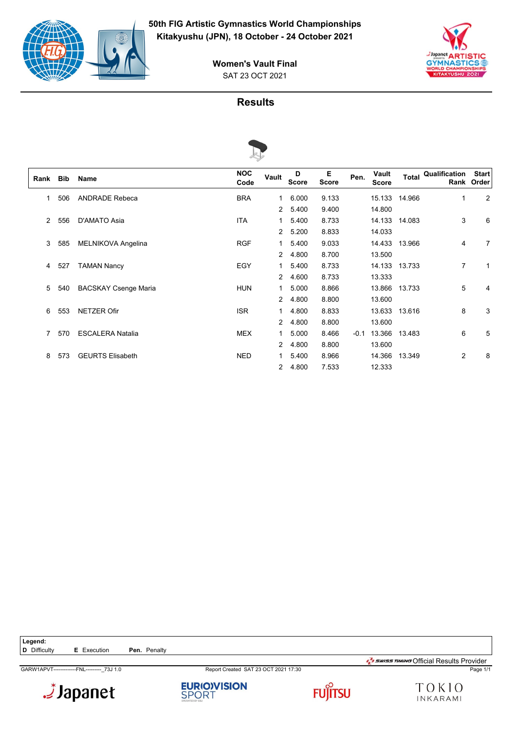



# SAT 23 OCT 2021 **Women's Vault Final**

#### **Results**



|      |     |                             | s                  |                |                   |                   |        |                       |               |               |                            |
|------|-----|-----------------------------|--------------------|----------------|-------------------|-------------------|--------|-----------------------|---------------|---------------|----------------------------|
| Rank | Bib | Name                        | <b>NOC</b><br>Code | Vault          | D<br><b>Score</b> | E<br><b>Score</b> | Pen.   | Vault<br><b>Score</b> | <b>Total</b>  | Qualification | <b>Start</b><br>Rank Order |
| 1    | 506 | <b>ANDRADE Rebeca</b>       | <b>BRA</b>         | 1              | 6.000             | 9.133             |        |                       | 15.133 14.966 | $\mathbf 1$   | 2                          |
|      |     |                             |                    | $\overline{2}$ | 5.400             | 9.400             |        | 14.800                |               |               |                            |
| 2    | 556 | D'AMATO Asia                | <b>ITA</b>         | 1              | 5.400             | 8.733             |        |                       | 14.133 14.083 | 3             | 6                          |
|      |     |                             |                    | $\overline{2}$ | 5.200             | 8.833             |        | 14.033                |               |               |                            |
| 3    | 585 | <b>MELNIKOVA Angelina</b>   | <b>RGF</b>         | 1              | 5.400             | 9.033             |        |                       | 14.433 13.966 | 4             | 7                          |
|      |     |                             |                    | $\overline{2}$ | 4.800             | 8.700             |        | 13.500                |               |               |                            |
| 4    | 527 | <b>TAMAN Nancy</b>          | EGY                | 1              | 5.400             | 8.733             |        | 14.133                | 13.733        | 7             | 1                          |
|      |     |                             |                    | $\overline{2}$ | 4.600             | 8.733             |        | 13.333                |               |               |                            |
| 5    | 540 | <b>BACSKAY Csenge Maria</b> | <b>HUN</b>         | 1              | 5.000             | 8.866             |        | 13.866                | 13.733        | 5             | 4                          |
|      |     |                             |                    | $\overline{2}$ | 4.800             | 8.800             |        | 13.600                |               |               |                            |
| 6    | 553 | <b>NETZER Ofir</b>          | <b>ISR</b>         | 1              | 4.800             | 8.833             |        | 13.633                | 13.616        | 8             | 3                          |
|      |     |                             |                    | $\overline{2}$ | 4.800             | 8.800             |        | 13.600                |               |               |                            |
| 7    | 570 | <b>ESCALERA Natalia</b>     | <b>MEX</b>         | 1              | 5.000             | 8.466             | $-0.1$ | 13.366                | 13.483        | 6             | 5                          |
|      |     |                             |                    | $\overline{2}$ | 4.800             | 8.800             |        | 13.600                |               |               |                            |
| 8    | 573 | <b>GEURTS Elisabeth</b>     | <b>NED</b>         | 1              | 5.400             | 8.966             |        | 14.366                | 13.349        | 2             | 8                          |
|      |     |                             |                    | $\overline{2}$ | 4.800             | 7.533             |        | 12.333                |               |               |                            |

Legend:<br>**D** Difficulty **E** Execution **Pen.** Penalty

Japanet.

**EURIO)VISION**<br>SPORT



GARW1APVT-------------FNL---------\_73J 1.0 Report Created SAT 23 OCT 2021 17:30 Page 1/1  $\frac{1}{2}$ swiss TIMING Official Results Provider

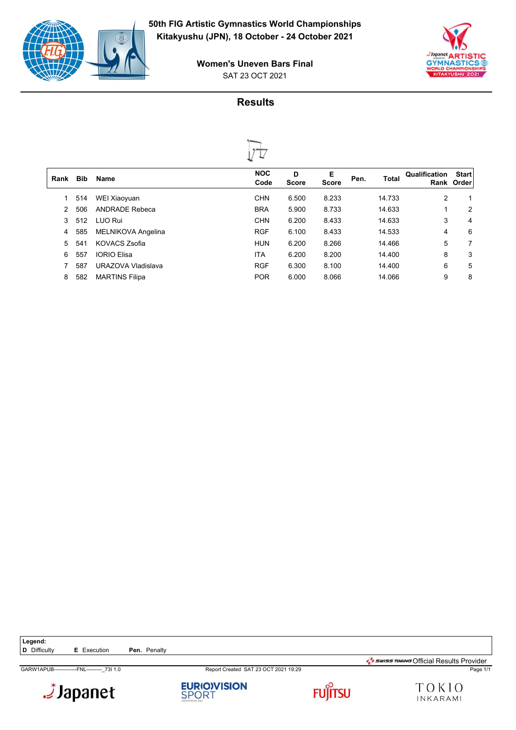



SAT 23 OCT 2021 **Women's Uneven Bars Final**

# **Results**



| Rank | <b>Bib</b> | <b>Name</b>           | <b>NOC</b><br>Code | D<br><b>Score</b> | Е<br><b>Score</b> | Pen. | Total  | Qualification | <b>Start</b><br>Rank Order |
|------|------------|-----------------------|--------------------|-------------------|-------------------|------|--------|---------------|----------------------------|
|      | 514        | WEI Xiaoyuan          | <b>CHN</b>         | 6.500             | 8.233             |      | 14.733 | 2             | 1                          |
| 2    | 506        | <b>ANDRADE Rebeca</b> | <b>BRA</b>         | 5.900             | 8.733             |      | 14.633 |               | 2                          |
| 3    | 512        | LUO Rui               | <b>CHN</b>         | 6.200             | 8.433             |      | 14.633 | 3             | 4                          |
| 4    | 585        | MELNIKOVA Angelina    | <b>RGF</b>         | 6.100             | 8.433             |      | 14.533 | 4             | 6                          |
| 5.   | 541        | <b>KOVACS Zsofia</b>  | <b>HUN</b>         | 6.200             | 8.266             |      | 14.466 | 5             | 7                          |
| 6    | 557        | <b>IORIO Elisa</b>    | ITA                | 6.200             | 8.200             |      | 14.400 | 8             | 3                          |
|      | 587        | URAZOVA Vladislava    | <b>RGF</b>         | 6.300             | 8.100             |      | 14.400 | 6             | 5                          |
| 8    | 582        | <b>MARTINS Filipa</b> | <b>POR</b>         | 6.000             | 8.066             |      | 14.066 | 9             | 8                          |
|      |            |                       |                    |                   |                   |      |        |               |                            |

GARW1APUB-------------FNL---------\_73I 1.0 Report Created SAT 23 OCT 2021 19:29 Page 1/1



 $\frac{1}{2}$ swiss TIMING Official Results Provider





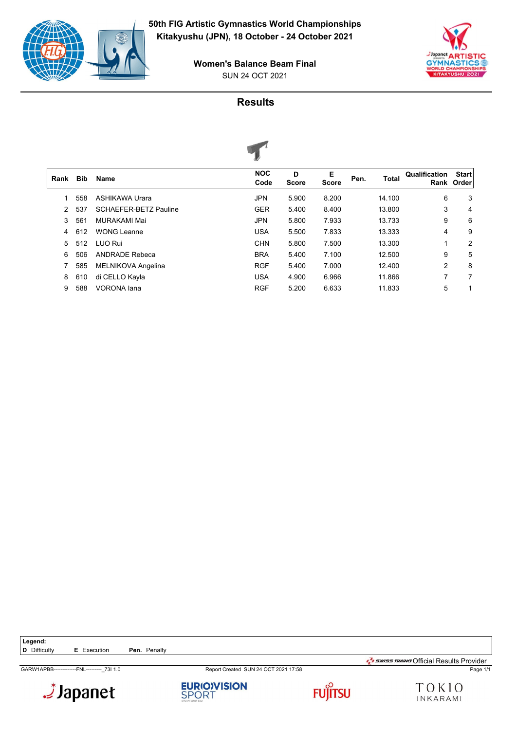



SUN 24 OCT 2021 **Women's Balance Beam Final**

# **Results**



|            |                              | $\tilde{\phantom{a}}$ |                   |                   |      |              |                       |                       |
|------------|------------------------------|-----------------------|-------------------|-------------------|------|--------------|-----------------------|-----------------------|
| <b>Bib</b> | Name                         | <b>NOC</b><br>Code    | D<br><b>Score</b> | Е<br><b>Score</b> | Pen. | <b>Total</b> | Qualification<br>Rank | <b>Start</b><br>Order |
| 558        | ASHIKAWA Urara               | <b>JPN</b>            | 5.900             | 8.200             |      | 14.100       | 6                     | 3                     |
| 537        | <b>SCHAEFER-BETZ Pauline</b> | <b>GER</b>            | 5.400             | 8.400             |      | 13.800       | 3                     | 4                     |
| 561        | MURAKAMI Mai                 | <b>JPN</b>            | 5.800             | 7.933             |      | 13.733       | 9                     | 6                     |
| 612        | <b>WONG Leanne</b>           | <b>USA</b>            | 5.500             | 7.833             |      | 13.333       | 4                     | 9                     |
| 512        | LUO Rui                      | <b>CHN</b>            | 5.800             | 7.500             |      | 13.300       | 1                     | 2                     |
| 506        | <b>ANDRADE Rebeca</b>        | <b>BRA</b>            | 5.400             | 7.100             |      | 12.500       | 9                     | 5                     |
| 585        | MELNIKOVA Angelina           | <b>RGF</b>            | 5.400             | 7.000             |      | 12.400       | $\overline{2}$        | 8                     |
| 610        | di CELLO Kayla               | <b>USA</b>            | 4.900             | 6.966             |      | 11.866       | 7                     | 7                     |
| 588        | <b>VORONA</b> lana           | <b>RGF</b>            | 5.200             | 6.633             |      | 11.833       | 5                     | 1                     |
|            |                              |                       |                   |                   |      |              |                       |                       |

GARW1APBB-------------FNL---------\_73I 1.0 Report Created SUN 24 OCT 2021 17:58 Page 1/1









 $\frac{1}{2}$ swiss TIMING Official Results Provider